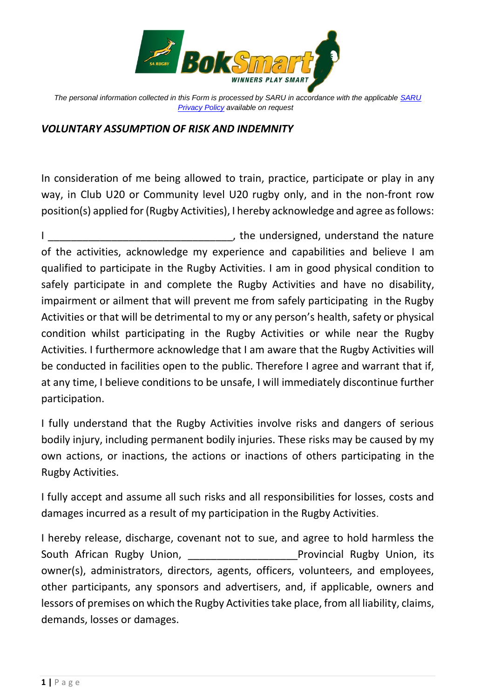

*The personal information collected in this Form is processed by SARU in accordance with the applicable [SARU](https://www.springboks.rugby/general/privacy-policy-updated-2021/)  [Privacy Policy](https://www.springboks.rugby/general/privacy-policy-updated-2021/) available on request*

## *VOLUNTARY ASSUMPTION OF RISK AND INDEMNITY*

In consideration of me being allowed to train, practice, participate or play in any way, in Club U20 or Community level U20 rugby only, and in the non-front row position(s) applied for (Rugby Activities), I hereby acknowledge and agree as follows:

I discussed in the undersigned, understand the nature of the activities, acknowledge my experience and capabilities and believe I am qualified to participate in the Rugby Activities. I am in good physical condition to safely participate in and complete the Rugby Activities and have no disability, impairment or ailment that will prevent me from safely participating in the Rugby Activities or that will be detrimental to my or any person's health, safety or physical condition whilst participating in the Rugby Activities or while near the Rugby Activities. I furthermore acknowledge that I am aware that the Rugby Activities will be conducted in facilities open to the public. Therefore I agree and warrant that if, at any time, I believe conditions to be unsafe, I will immediately discontinue further participation.

I fully understand that the Rugby Activities involve risks and dangers of serious bodily injury, including permanent bodily injuries. These risks may be caused by my own actions, or inactions, the actions or inactions of others participating in the Rugby Activities.

I fully accept and assume all such risks and all responsibilities for losses, costs and damages incurred as a result of my participation in the Rugby Activities.

I hereby release, discharge, covenant not to sue, and agree to hold harmless the South African Rugby Union, The South African Rugby Union, its owner(s), administrators, directors, agents, officers, volunteers, and employees, other participants, any sponsors and advertisers, and, if applicable, owners and lessors of premises on which the Rugby Activities take place, from all liability, claims, demands, losses or damages.